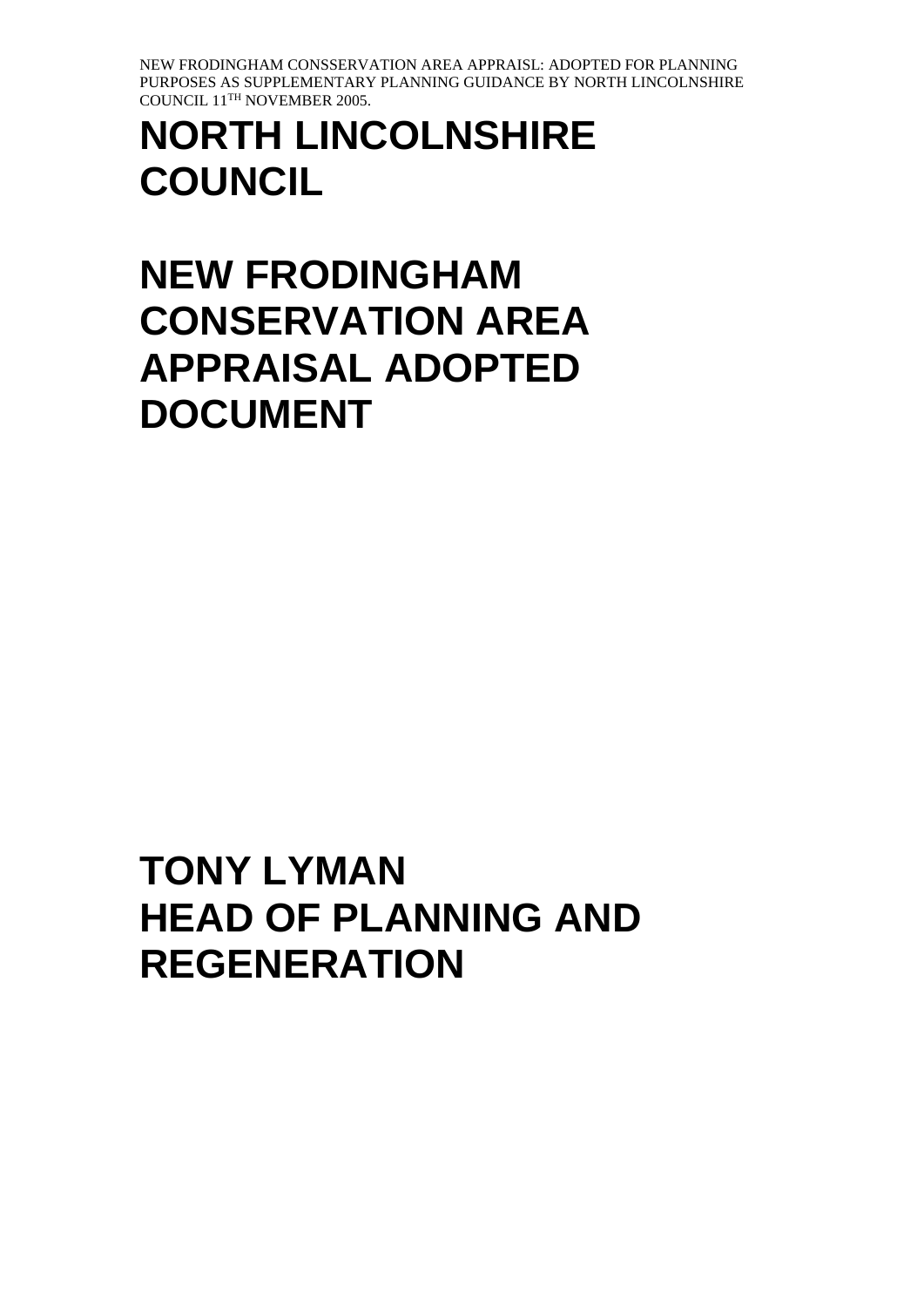# **NORTH LINCOLNSHIRE COUNCIL**

# **NEW FRODINGHAM CONSERVATION AREA APPRAISAL ADOPTED DOCUMENT**

# **TONY LYMAN HEAD OF PLANNING AND REGENERATION**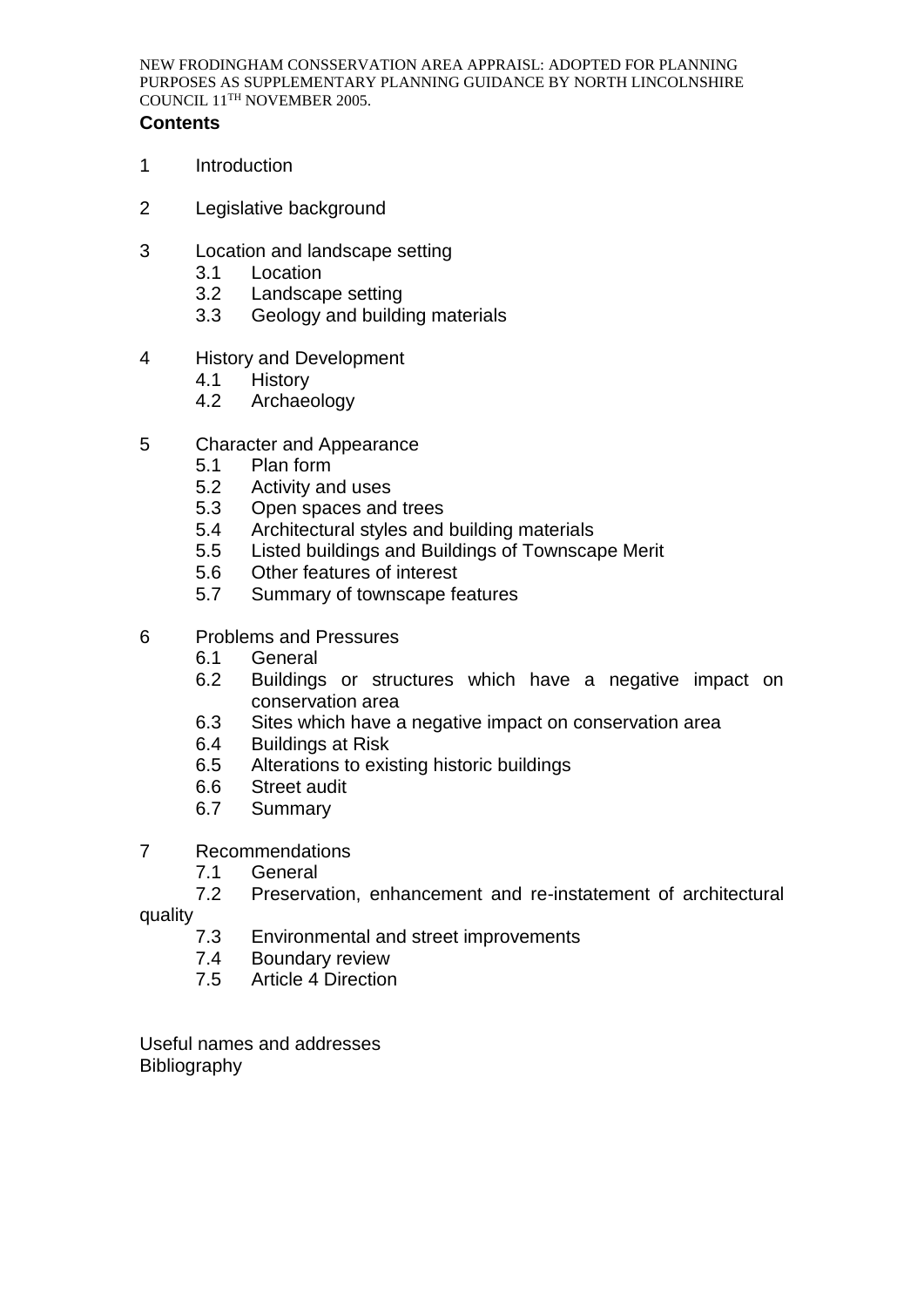## **Contents**

- 1 Introduction
- 2 Legislative background
- 3 Location and landscape setting
	- 3.1 Location
	- 3.2 Landscape setting
	- 3.3 Geology and building materials
- 4 History and Development
	- 4.1 History
	- 4.2 Archaeology
- 5 Character and Appearance
	- 5.1 Plan form
	- 5.2 Activity and uses
	- 5.3 Open spaces and trees
	- 5.4 Architectural styles and building materials
	- 5.5 Listed buildings and Buildings of Townscape Merit
	- 5.6 Other features of interest
	- 5.7 Summary of townscape features
- 6 Problems and Pressures
	- 6.1 General
	- 6.2 Buildings or structures which have a negative impact on conservation area
	- 6.3 Sites which have a negative impact on conservation area
	- 6.4 Buildings at Risk
	- 6.5 Alterations to existing historic buildings
	- 6.6 Street audit
	- 6.7 Summary
- 7 Recommendations
	-
	- 7.1 General<br>7.2 Preserva Preservation, enhancement and re-instatement of architectural

quality

- 7.3 Environmental and street improvements
- 7.4 Boundary review
- 7.5 Article 4 Direction

Useful names and addresses Bibliography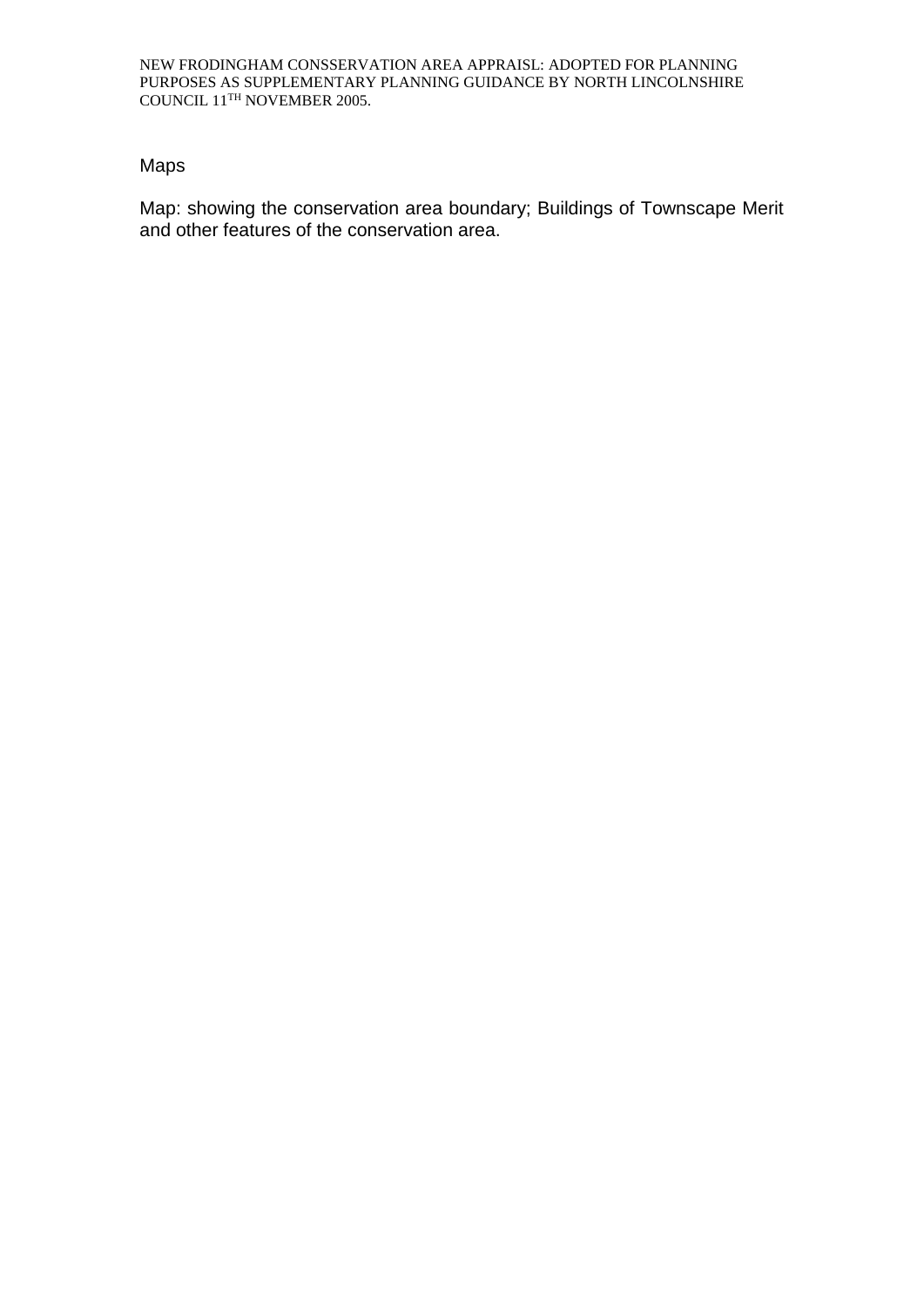# Maps

Map: showing the conservation area boundary; Buildings of Townscape Merit and other features of the conservation area.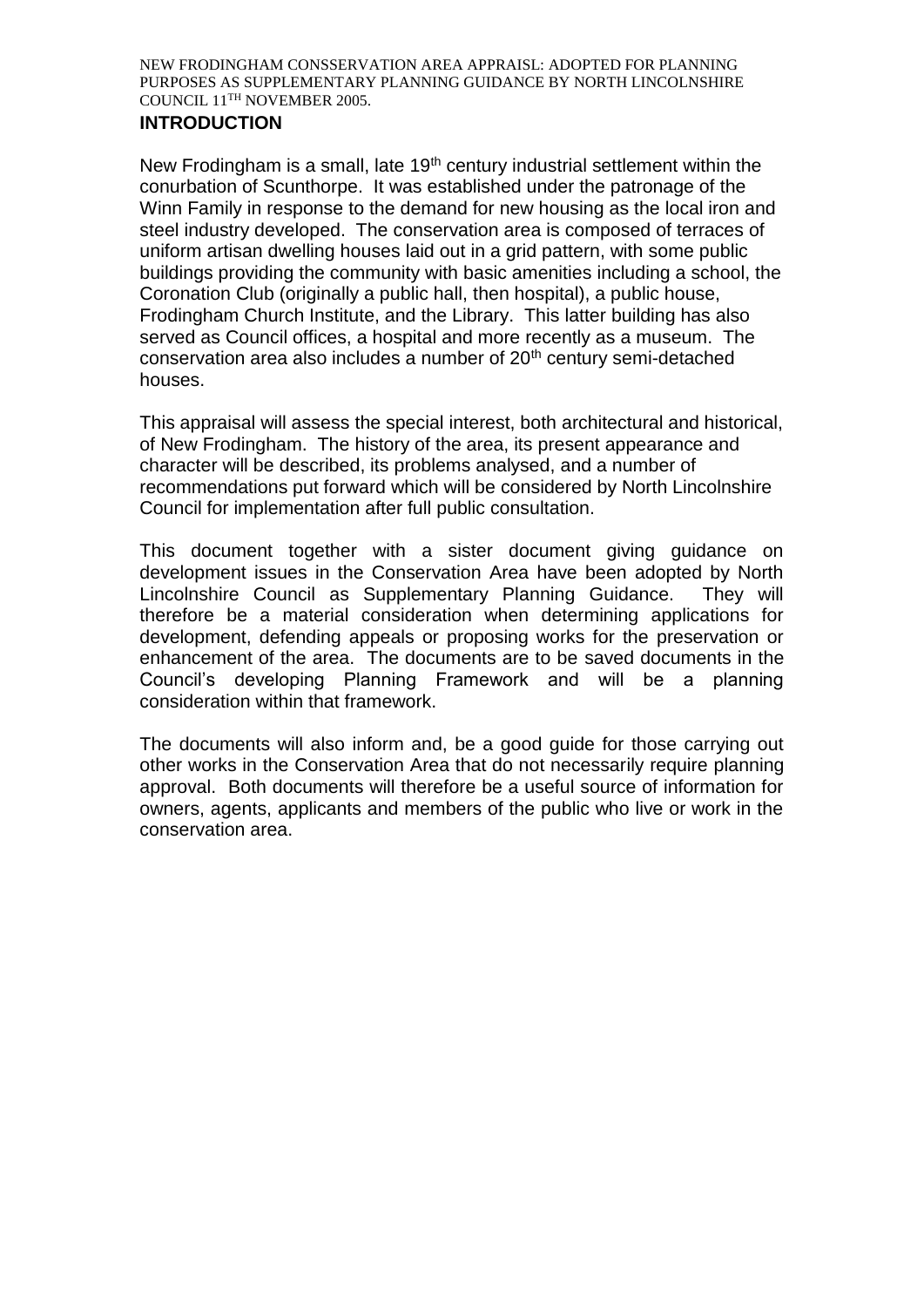## **INTRODUCTION**

New Frodingham is a small, late 19<sup>th</sup> century industrial settlement within the conurbation of Scunthorpe. It was established under the patronage of the Winn Family in response to the demand for new housing as the local iron and steel industry developed. The conservation area is composed of terraces of uniform artisan dwelling houses laid out in a grid pattern, with some public buildings providing the community with basic amenities including a school, the Coronation Club (originally a public hall, then hospital), a public house, Frodingham Church Institute, and the Library. This latter building has also served as Council offices, a hospital and more recently as a museum. The conservation area also includes a number of 20<sup>th</sup> century semi-detached houses.

This appraisal will assess the special interest, both architectural and historical, of New Frodingham. The history of the area, its present appearance and character will be described, its problems analysed, and a number of recommendations put forward which will be considered by North Lincolnshire Council for implementation after full public consultation.

This document together with a sister document giving guidance on development issues in the Conservation Area have been adopted by North Lincolnshire Council as Supplementary Planning Guidance. They will therefore be a material consideration when determining applications for development, defending appeals or proposing works for the preservation or enhancement of the area. The documents are to be saved documents in the Council's developing Planning Framework and will be a planning consideration within that framework.

The documents will also inform and, be a good guide for those carrying out other works in the Conservation Area that do not necessarily require planning approval. Both documents will therefore be a useful source of information for owners, agents, applicants and members of the public who live or work in the conservation area.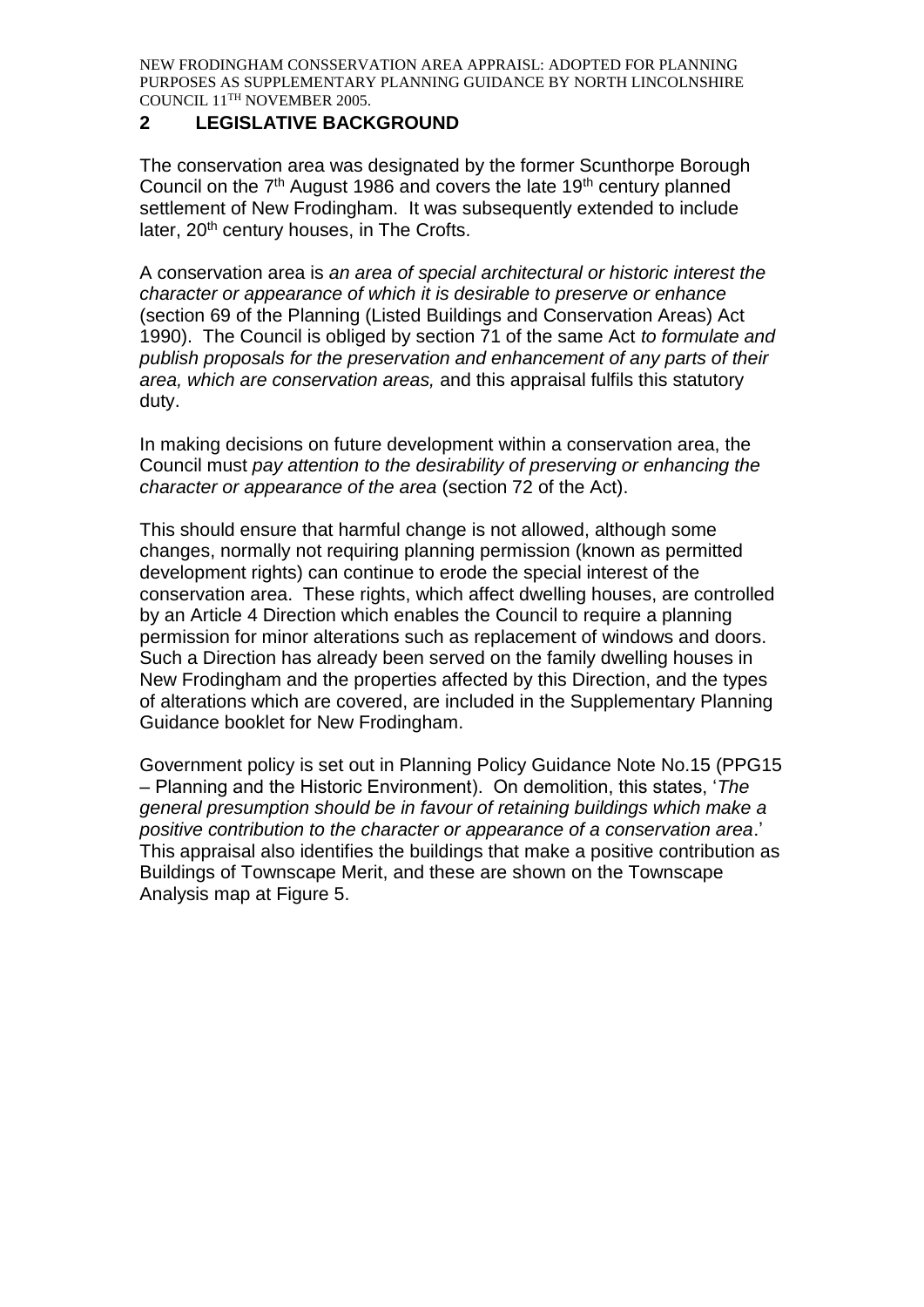## **2 LEGISLATIVE BACKGROUND**

The conservation area was designated by the former Scunthorpe Borough Council on the 7<sup>th</sup> August 1986 and covers the late 19<sup>th</sup> century planned settlement of New Frodingham. It was subsequently extended to include later, 20<sup>th</sup> century houses, in The Crofts.

A conservation area is *an area of special architectural or historic interest the character or appearance of which it is desirable to preserve or enhance*  (section 69 of the Planning (Listed Buildings and Conservation Areas) Act 1990). The Council is obliged by section 71 of the same Act *to formulate and publish proposals for the preservation and enhancement of any parts of their area, which are conservation areas,* and this appraisal fulfils this statutory duty.

In making decisions on future development within a conservation area, the Council must *pay attention to the desirability of preserving or enhancing the character or appearance of the area* (section 72 of the Act).

This should ensure that harmful change is not allowed, although some changes, normally not requiring planning permission (known as permitted development rights) can continue to erode the special interest of the conservation area. These rights, which affect dwelling houses, are controlled by an Article 4 Direction which enables the Council to require a planning permission for minor alterations such as replacement of windows and doors. Such a Direction has already been served on the family dwelling houses in New Frodingham and the properties affected by this Direction, and the types of alterations which are covered, are included in the Supplementary Planning Guidance booklet for New Frodingham.

Government policy is set out in Planning Policy Guidance Note No.15 (PPG15 – Planning and the Historic Environment). On demolition, this states, '*The general presumption should be in favour of retaining buildings which make a positive contribution to the character or appearance of a conservation area*.' This appraisal also identifies the buildings that make a positive contribution as Buildings of Townscape Merit, and these are shown on the Townscape Analysis map at Figure 5.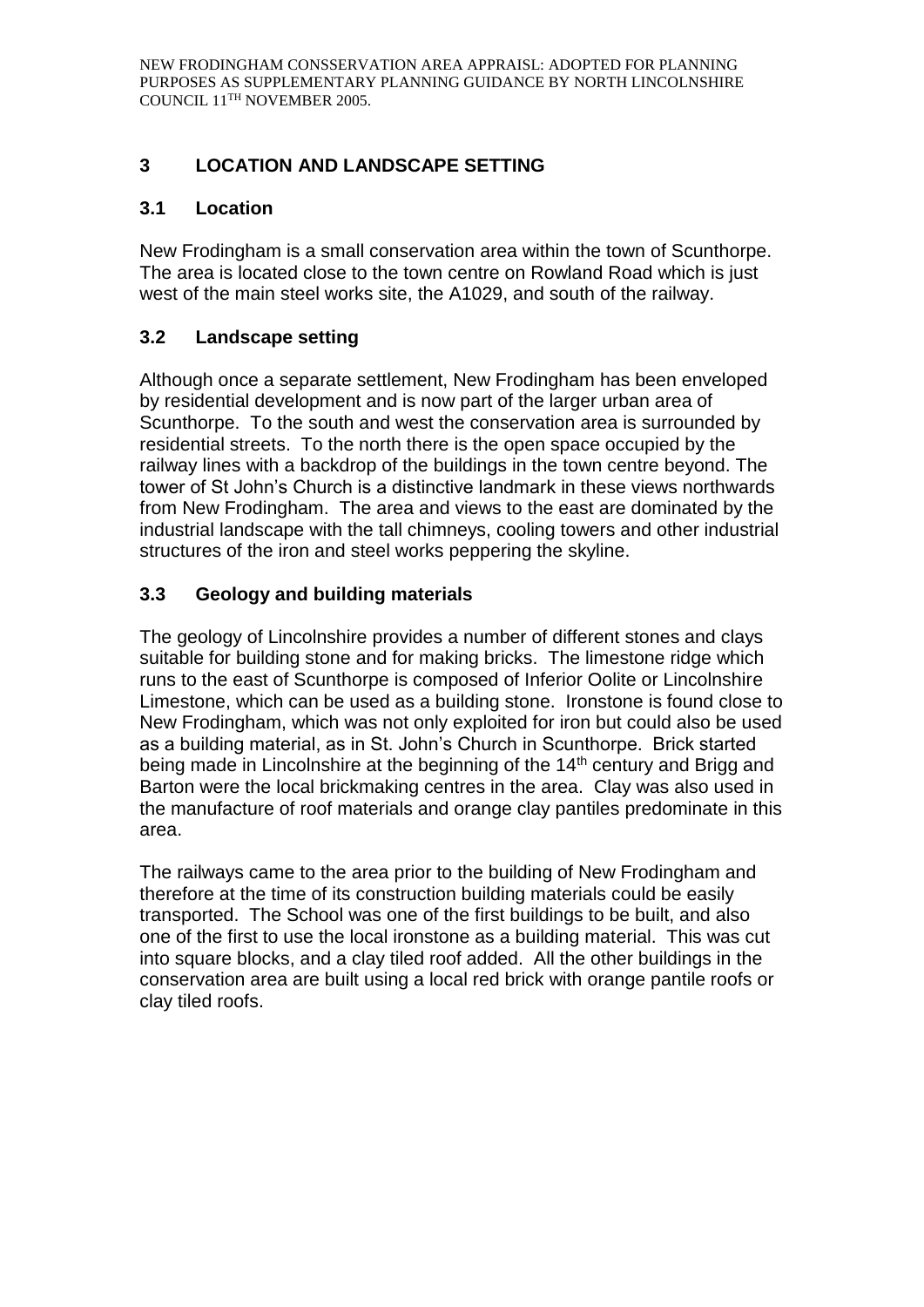# **3 LOCATION AND LANDSCAPE SETTING**

## **3.1 Location**

New Frodingham is a small conservation area within the town of Scunthorpe. The area is located close to the town centre on Rowland Road which is just west of the main steel works site, the A1029, and south of the railway.

# **3.2 Landscape setting**

Although once a separate settlement, New Frodingham has been enveloped by residential development and is now part of the larger urban area of Scunthorpe. To the south and west the conservation area is surrounded by residential streets. To the north there is the open space occupied by the railway lines with a backdrop of the buildings in the town centre beyond. The tower of St John's Church is a distinctive landmark in these views northwards from New Frodingham. The area and views to the east are dominated by the industrial landscape with the tall chimneys, cooling towers and other industrial structures of the iron and steel works peppering the skyline.

# **3.3 Geology and building materials**

The geology of Lincolnshire provides a number of different stones and clays suitable for building stone and for making bricks. The limestone ridge which runs to the east of Scunthorpe is composed of Inferior Oolite or Lincolnshire Limestone, which can be used as a building stone. Ironstone is found close to New Frodingham, which was not only exploited for iron but could also be used as a building material, as in St. John's Church in Scunthorpe. Brick started being made in Lincolnshire at the beginning of the 14<sup>th</sup> century and Brigg and Barton were the local brickmaking centres in the area. Clay was also used in the manufacture of roof materials and orange clay pantiles predominate in this area.

The railways came to the area prior to the building of New Frodingham and therefore at the time of its construction building materials could be easily transported. The School was one of the first buildings to be built, and also one of the first to use the local ironstone as a building material. This was cut into square blocks, and a clay tiled roof added. All the other buildings in the conservation area are built using a local red brick with orange pantile roofs or clay tiled roofs.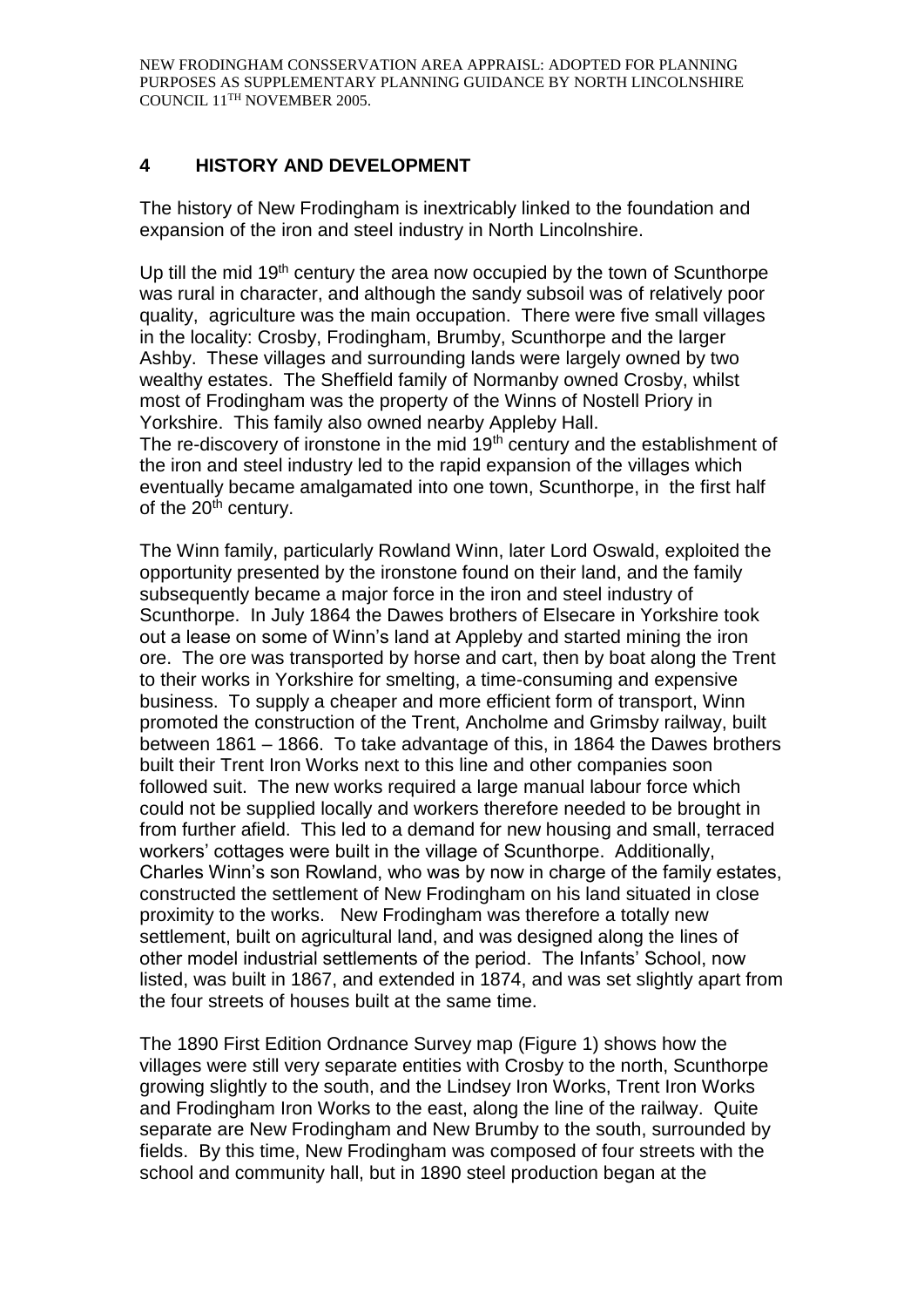# **4 HISTORY AND DEVELOPMENT**

The history of New Frodingham is inextricably linked to the foundation and expansion of the iron and steel industry in North Lincolnshire.

Up till the mid 19<sup>th</sup> century the area now occupied by the town of Scunthorpe was rural in character, and although the sandy subsoil was of relatively poor quality, agriculture was the main occupation. There were five small villages in the locality: Crosby, Frodingham, Brumby, Scunthorpe and the larger Ashby. These villages and surrounding lands were largely owned by two wealthy estates. The Sheffield family of Normanby owned Crosby, whilst most of Frodingham was the property of the Winns of Nostell Priory in Yorkshire. This family also owned nearby Appleby Hall.

The re-discovery of ironstone in the mid 19<sup>th</sup> century and the establishment of the iron and steel industry led to the rapid expansion of the villages which eventually became amalgamated into one town, Scunthorpe, in the first half of the 20<sup>th</sup> century.

The Winn family, particularly Rowland Winn, later Lord Oswald, exploited the opportunity presented by the ironstone found on their land, and the family subsequently became a major force in the iron and steel industry of Scunthorpe. In July 1864 the Dawes brothers of Elsecare in Yorkshire took out a lease on some of Winn's land at Appleby and started mining the iron ore. The ore was transported by horse and cart, then by boat along the Trent to their works in Yorkshire for smelting, a time-consuming and expensive business. To supply a cheaper and more efficient form of transport, Winn promoted the construction of the Trent, Ancholme and Grimsby railway, built between 1861 – 1866. To take advantage of this, in 1864 the Dawes brothers built their Trent Iron Works next to this line and other companies soon followed suit. The new works required a large manual labour force which could not be supplied locally and workers therefore needed to be brought in from further afield. This led to a demand for new housing and small, terraced workers' cottages were built in the village of Scunthorpe. Additionally, Charles Winn's son Rowland, who was by now in charge of the family estates, constructed the settlement of New Frodingham on his land situated in close proximity to the works. New Frodingham was therefore a totally new settlement, built on agricultural land, and was designed along the lines of other model industrial settlements of the period. The Infants' School, now listed, was built in 1867, and extended in 1874, and was set slightly apart from the four streets of houses built at the same time.

The 1890 First Edition Ordnance Survey map (Figure 1) shows how the villages were still very separate entities with Crosby to the north, Scunthorpe growing slightly to the south, and the Lindsey Iron Works, Trent Iron Works and Frodingham Iron Works to the east, along the line of the railway. Quite separate are New Frodingham and New Brumby to the south, surrounded by fields. By this time, New Frodingham was composed of four streets with the school and community hall, but in 1890 steel production began at the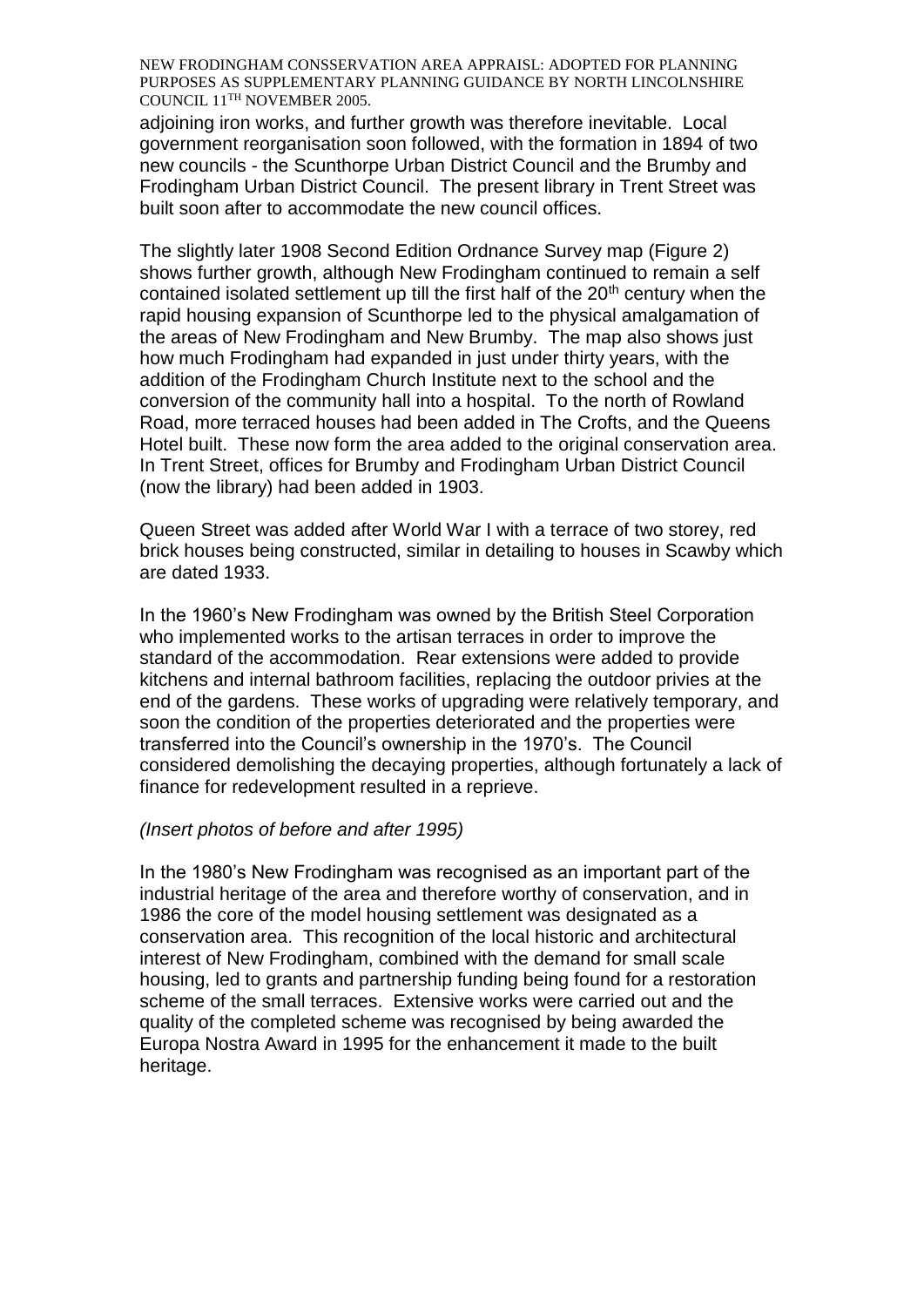adjoining iron works, and further growth was therefore inevitable. Local government reorganisation soon followed, with the formation in 1894 of two new councils - the Scunthorpe Urban District Council and the Brumby and Frodingham Urban District Council. The present library in Trent Street was built soon after to accommodate the new council offices.

The slightly later 1908 Second Edition Ordnance Survey map (Figure 2) shows further growth, although New Frodingham continued to remain a self contained isolated settlement up till the first half of the 20<sup>th</sup> century when the rapid housing expansion of Scunthorpe led to the physical amalgamation of the areas of New Frodingham and New Brumby. The map also shows just how much Frodingham had expanded in just under thirty years, with the addition of the Frodingham Church Institute next to the school and the conversion of the community hall into a hospital. To the north of Rowland Road, more terraced houses had been added in The Crofts, and the Queens Hotel built. These now form the area added to the original conservation area. In Trent Street, offices for Brumby and Frodingham Urban District Council (now the library) had been added in 1903.

Queen Street was added after World War I with a terrace of two storey, red brick houses being constructed, similar in detailing to houses in Scawby which are dated 1933.

In the 1960's New Frodingham was owned by the British Steel Corporation who implemented works to the artisan terraces in order to improve the standard of the accommodation. Rear extensions were added to provide kitchens and internal bathroom facilities, replacing the outdoor privies at the end of the gardens. These works of upgrading were relatively temporary, and soon the condition of the properties deteriorated and the properties were transferred into the Council's ownership in the 1970's. The Council considered demolishing the decaying properties, although fortunately a lack of finance for redevelopment resulted in a reprieve.

#### *(Insert photos of before and after 1995)*

In the 1980's New Frodingham was recognised as an important part of the industrial heritage of the area and therefore worthy of conservation, and in 1986 the core of the model housing settlement was designated as a conservation area. This recognition of the local historic and architectural interest of New Frodingham, combined with the demand for small scale housing, led to grants and partnership funding being found for a restoration scheme of the small terraces. Extensive works were carried out and the quality of the completed scheme was recognised by being awarded the Europa Nostra Award in 1995 for the enhancement it made to the built heritage.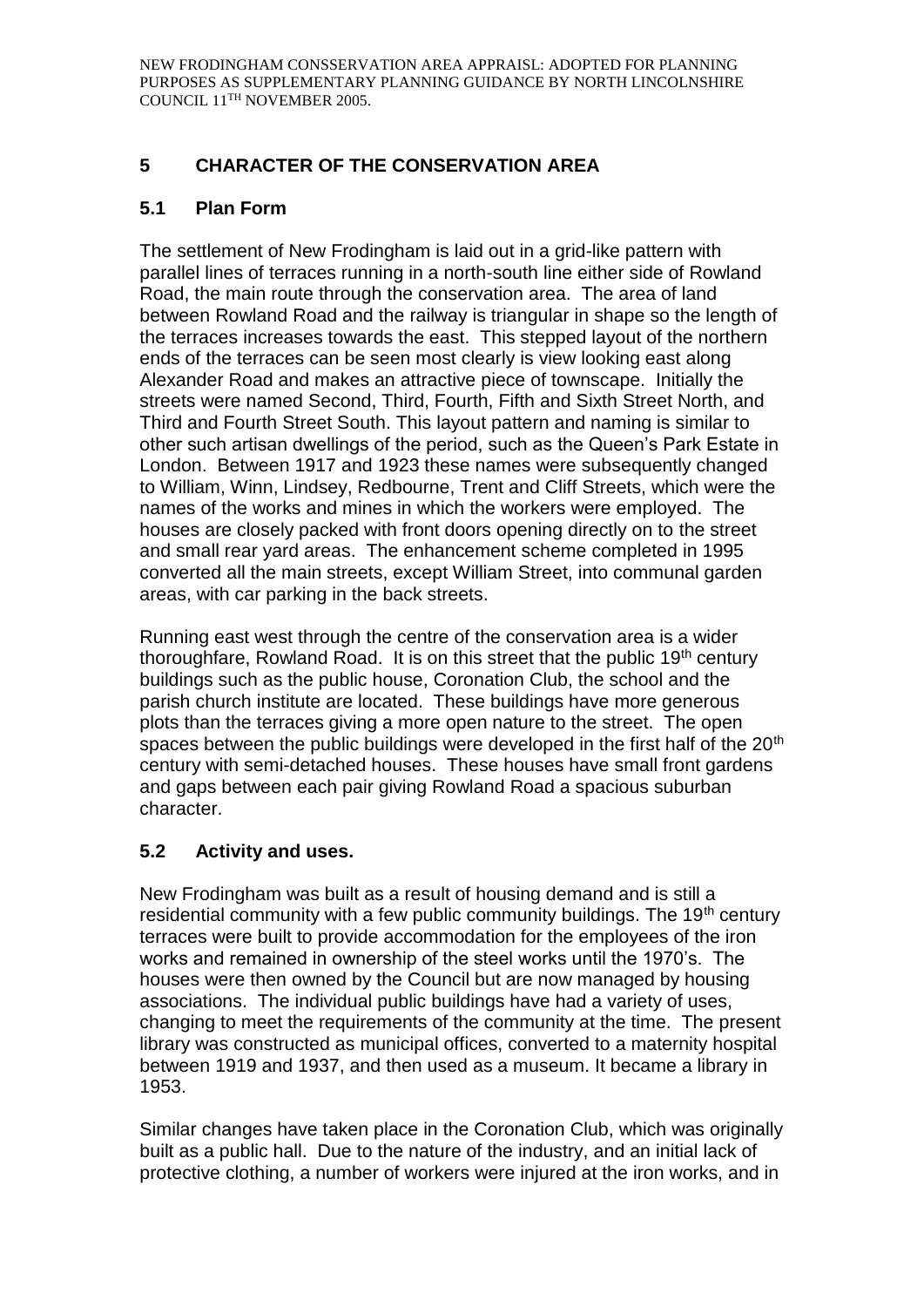# **5 CHARACTER OF THE CONSERVATION AREA**

# **5.1 Plan Form**

The settlement of New Frodingham is laid out in a grid-like pattern with parallel lines of terraces running in a north-south line either side of Rowland Road, the main route through the conservation area. The area of land between Rowland Road and the railway is triangular in shape so the length of the terraces increases towards the east. This stepped layout of the northern ends of the terraces can be seen most clearly is view looking east along Alexander Road and makes an attractive piece of townscape. Initially the streets were named Second, Third, Fourth, Fifth and Sixth Street North, and Third and Fourth Street South. This layout pattern and naming is similar to other such artisan dwellings of the period, such as the Queen's Park Estate in London. Between 1917 and 1923 these names were subsequently changed to William, Winn, Lindsey, Redbourne, Trent and Cliff Streets, which were the names of the works and mines in which the workers were employed. The houses are closely packed with front doors opening directly on to the street and small rear yard areas. The enhancement scheme completed in 1995 converted all the main streets, except William Street, into communal garden areas, with car parking in the back streets.

Running east west through the centre of the conservation area is a wider thoroughfare, Rowland Road. It is on this street that the public 19<sup>th</sup> century buildings such as the public house, Coronation Club, the school and the parish church institute are located. These buildings have more generous plots than the terraces giving a more open nature to the street. The open spaces between the public buildings were developed in the first half of the 20<sup>th</sup> century with semi-detached houses. These houses have small front gardens and gaps between each pair giving Rowland Road a spacious suburban character.

# **5.2 Activity and uses.**

New Frodingham was built as a result of housing demand and is still a residential community with a few public community buildings. The 19<sup>th</sup> century terraces were built to provide accommodation for the employees of the iron works and remained in ownership of the steel works until the 1970's. The houses were then owned by the Council but are now managed by housing associations. The individual public buildings have had a variety of uses, changing to meet the requirements of the community at the time. The present library was constructed as municipal offices, converted to a maternity hospital between 1919 and 1937, and then used as a museum. It became a library in 1953.

Similar changes have taken place in the Coronation Club, which was originally built as a public hall. Due to the nature of the industry, and an initial lack of protective clothing, a number of workers were injured at the iron works, and in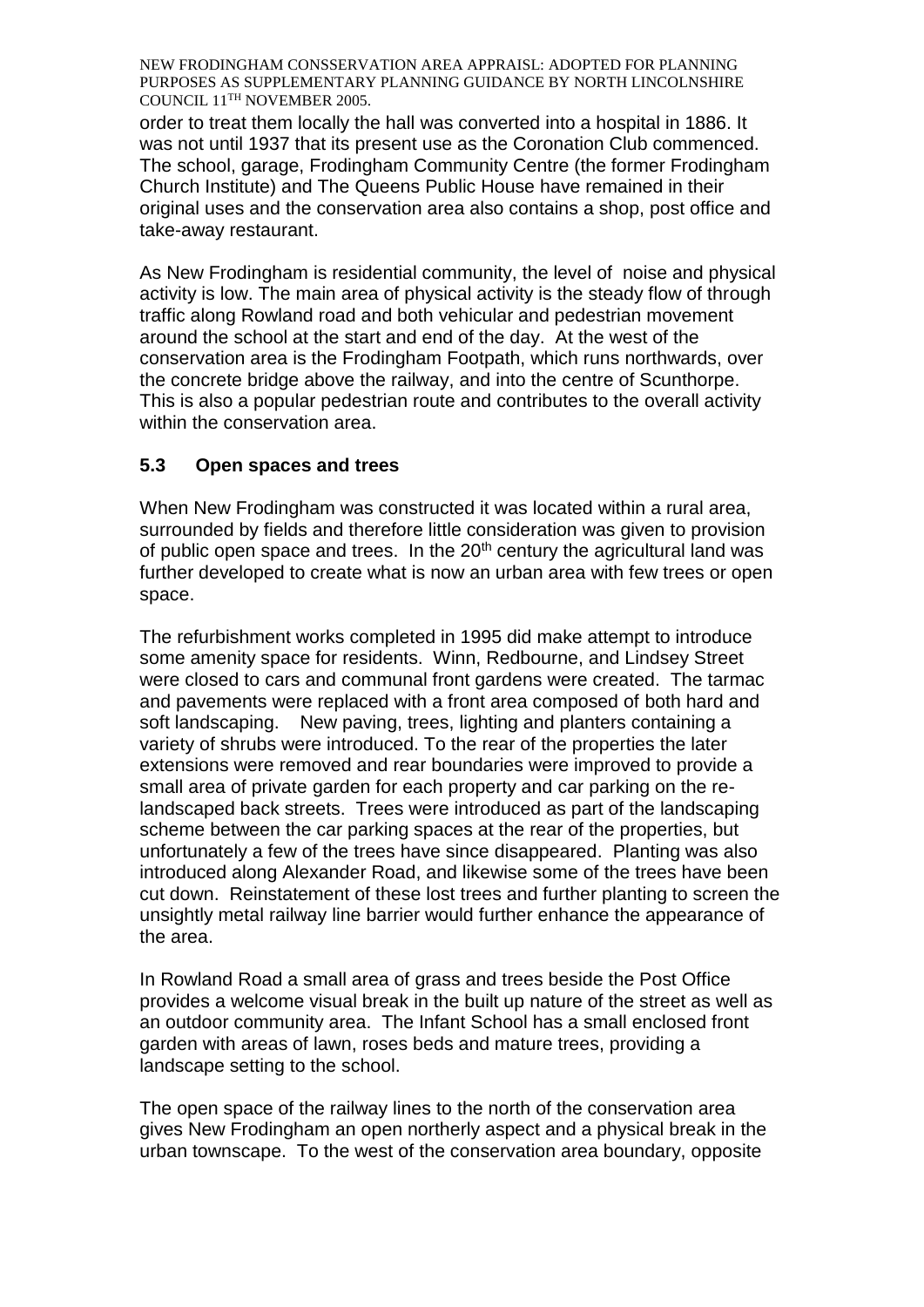order to treat them locally the hall was converted into a hospital in 1886. It was not until 1937 that its present use as the Coronation Club commenced. The school, garage, Frodingham Community Centre (the former Frodingham Church Institute) and The Queens Public House have remained in their original uses and the conservation area also contains a shop, post office and take-away restaurant.

As New Frodingham is residential community, the level of noise and physical activity is low. The main area of physical activity is the steady flow of through traffic along Rowland road and both vehicular and pedestrian movement around the school at the start and end of the day. At the west of the conservation area is the Frodingham Footpath, which runs northwards, over the concrete bridge above the railway, and into the centre of Scunthorpe. This is also a popular pedestrian route and contributes to the overall activity within the conservation area.

# **5.3 Open spaces and trees**

When New Frodingham was constructed it was located within a rural area, surrounded by fields and therefore little consideration was given to provision of public open space and trees. In the  $20<sup>th</sup>$  century the agricultural land was further developed to create what is now an urban area with few trees or open space.

The refurbishment works completed in 1995 did make attempt to introduce some amenity space for residents. Winn, Redbourne, and Lindsey Street were closed to cars and communal front gardens were created. The tarmac and pavements were replaced with a front area composed of both hard and soft landscaping. New paving, trees, lighting and planters containing a variety of shrubs were introduced. To the rear of the properties the later extensions were removed and rear boundaries were improved to provide a small area of private garden for each property and car parking on the relandscaped back streets. Trees were introduced as part of the landscaping scheme between the car parking spaces at the rear of the properties, but unfortunately a few of the trees have since disappeared. Planting was also introduced along Alexander Road, and likewise some of the trees have been cut down. Reinstatement of these lost trees and further planting to screen the unsightly metal railway line barrier would further enhance the appearance of the area.

In Rowland Road a small area of grass and trees beside the Post Office provides a welcome visual break in the built up nature of the street as well as an outdoor community area. The Infant School has a small enclosed front garden with areas of lawn, roses beds and mature trees, providing a landscape setting to the school.

The open space of the railway lines to the north of the conservation area gives New Frodingham an open northerly aspect and a physical break in the urban townscape. To the west of the conservation area boundary, opposite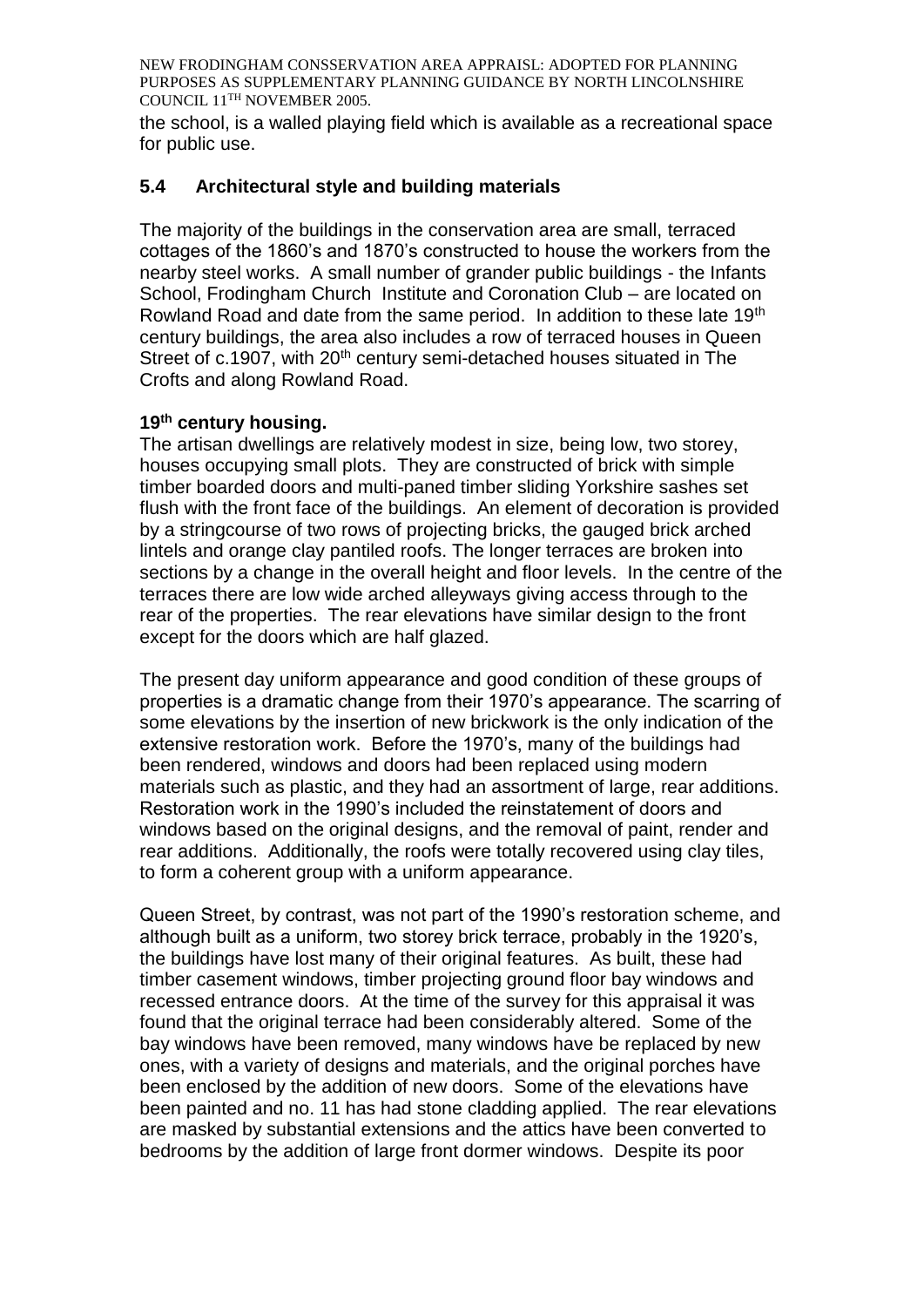the school, is a walled playing field which is available as a recreational space for public use.

## **5.4 Architectural style and building materials**

The majority of the buildings in the conservation area are small, terraced cottages of the 1860's and 1870's constructed to house the workers from the nearby steel works. A small number of grander public buildings - the Infants School, Frodingham Church Institute and Coronation Club – are located on Rowland Road and date from the same period. In addition to these late 19<sup>th</sup> century buildings, the area also includes a row of terraced houses in Queen Street of c.1907, with 20<sup>th</sup> century semi-detached houses situated in The Crofts and along Rowland Road.

### **19th century housing.**

The artisan dwellings are relatively modest in size, being low, two storey, houses occupying small plots. They are constructed of brick with simple timber boarded doors and multi-paned timber sliding Yorkshire sashes set flush with the front face of the buildings. An element of decoration is provided by a stringcourse of two rows of projecting bricks, the gauged brick arched lintels and orange clay pantiled roofs. The longer terraces are broken into sections by a change in the overall height and floor levels. In the centre of the terraces there are low wide arched alleyways giving access through to the rear of the properties. The rear elevations have similar design to the front except for the doors which are half glazed.

The present day uniform appearance and good condition of these groups of properties is a dramatic change from their 1970's appearance. The scarring of some elevations by the insertion of new brickwork is the only indication of the extensive restoration work. Before the 1970's, many of the buildings had been rendered, windows and doors had been replaced using modern materials such as plastic, and they had an assortment of large, rear additions. Restoration work in the 1990's included the reinstatement of doors and windows based on the original designs, and the removal of paint, render and rear additions. Additionally, the roofs were totally recovered using clay tiles, to form a coherent group with a uniform appearance.

Queen Street, by contrast, was not part of the 1990's restoration scheme, and although built as a uniform, two storey brick terrace, probably in the 1920's, the buildings have lost many of their original features. As built, these had timber casement windows, timber projecting ground floor bay windows and recessed entrance doors. At the time of the survey for this appraisal it was found that the original terrace had been considerably altered. Some of the bay windows have been removed, many windows have be replaced by new ones, with a variety of designs and materials, and the original porches have been enclosed by the addition of new doors. Some of the elevations have been painted and no. 11 has had stone cladding applied. The rear elevations are masked by substantial extensions and the attics have been converted to bedrooms by the addition of large front dormer windows. Despite its poor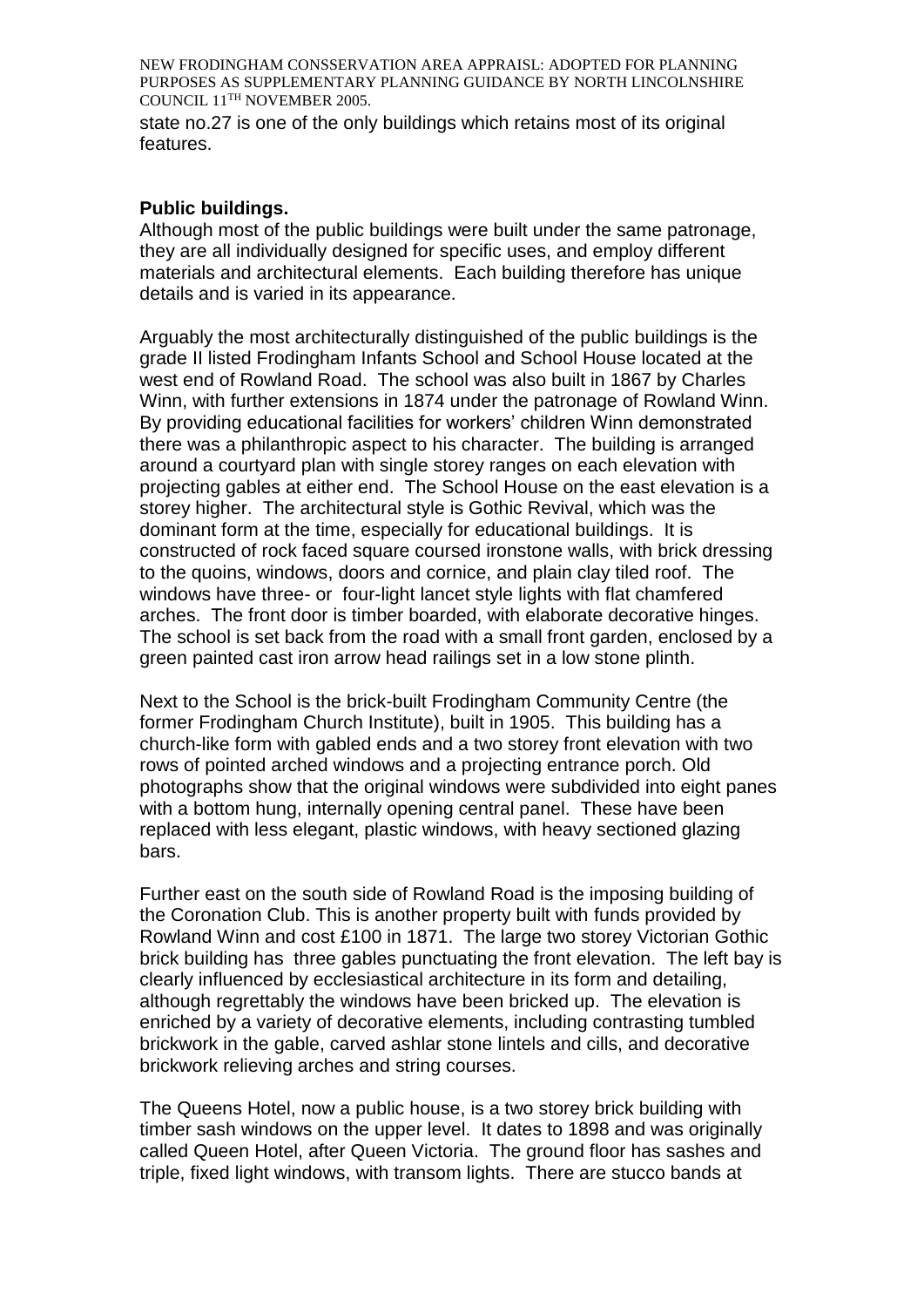state no.27 is one of the only buildings which retains most of its original features.

#### **Public buildings.**

Although most of the public buildings were built under the same patronage, they are all individually designed for specific uses, and employ different materials and architectural elements. Each building therefore has unique details and is varied in its appearance.

Arguably the most architecturally distinguished of the public buildings is the grade II listed Frodingham Infants School and School House located at the west end of Rowland Road. The school was also built in 1867 by Charles Winn, with further extensions in 1874 under the patronage of Rowland Winn. By providing educational facilities for workers' children Winn demonstrated there was a philanthropic aspect to his character. The building is arranged around a courtyard plan with single storey ranges on each elevation with projecting gables at either end. The School House on the east elevation is a storey higher. The architectural style is Gothic Revival, which was the dominant form at the time, especially for educational buildings. It is constructed of rock faced square coursed ironstone walls, with brick dressing to the quoins, windows, doors and cornice, and plain clay tiled roof. The windows have three- or four-light lancet style lights with flat chamfered arches. The front door is timber boarded, with elaborate decorative hinges. The school is set back from the road with a small front garden, enclosed by a green painted cast iron arrow head railings set in a low stone plinth.

Next to the School is the brick-built Frodingham Community Centre (the former Frodingham Church Institute), built in 1905. This building has a church-like form with gabled ends and a two storey front elevation with two rows of pointed arched windows and a projecting entrance porch. Old photographs show that the original windows were subdivided into eight panes with a bottom hung, internally opening central panel. These have been replaced with less elegant, plastic windows, with heavy sectioned glazing bars.

Further east on the south side of Rowland Road is the imposing building of the Coronation Club. This is another property built with funds provided by Rowland Winn and cost £100 in 1871. The large two storey Victorian Gothic brick building has three gables punctuating the front elevation. The left bay is clearly influenced by ecclesiastical architecture in its form and detailing, although regrettably the windows have been bricked up. The elevation is enriched by a variety of decorative elements, including contrasting tumbled brickwork in the gable, carved ashlar stone lintels and cills, and decorative brickwork relieving arches and string courses.

The Queens Hotel, now a public house, is a two storey brick building with timber sash windows on the upper level. It dates to 1898 and was originally called Queen Hotel, after Queen Victoria. The ground floor has sashes and triple, fixed light windows, with transom lights. There are stucco bands at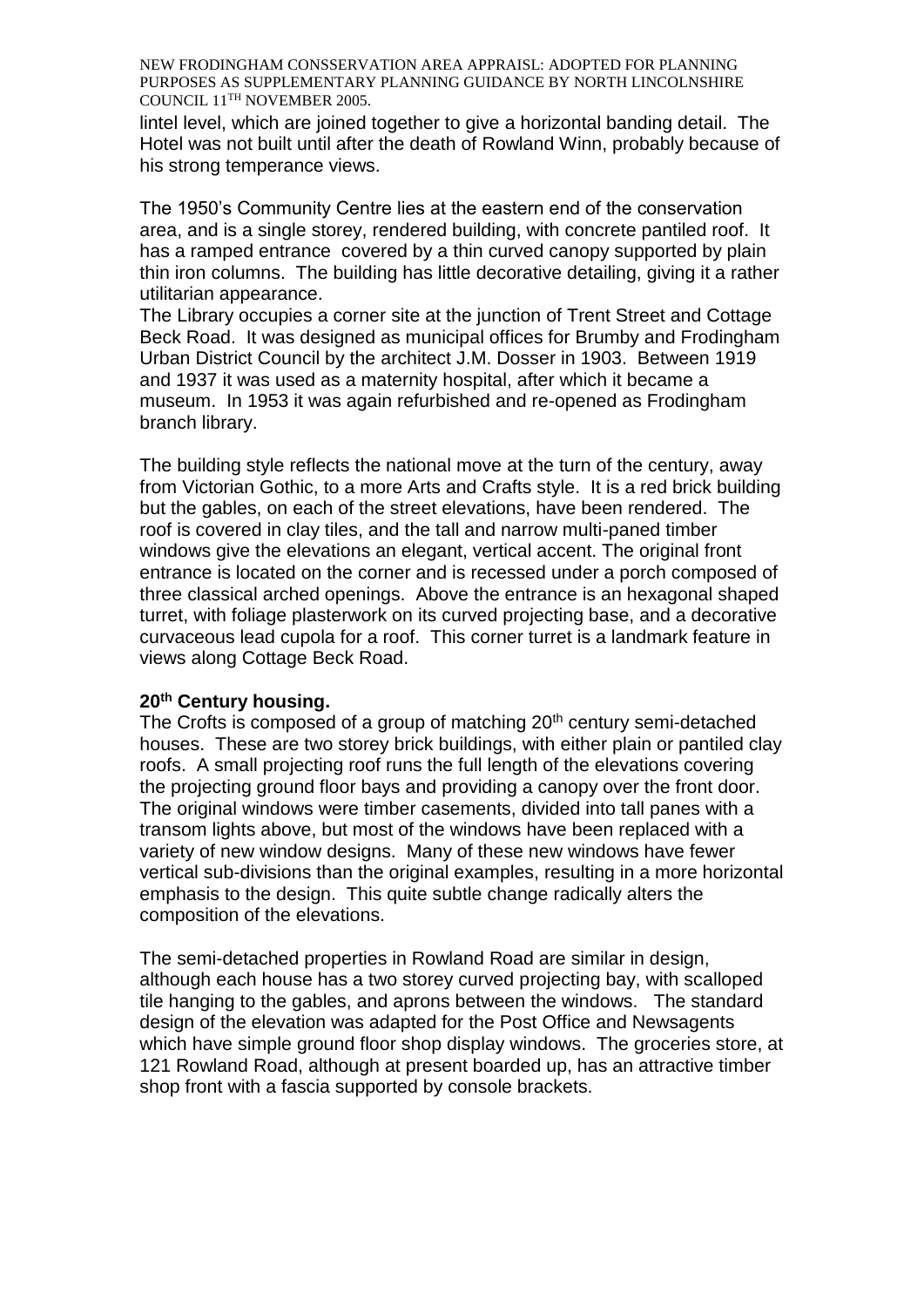lintel level, which are joined together to give a horizontal banding detail. The Hotel was not built until after the death of Rowland Winn, probably because of his strong temperance views.

The 1950's Community Centre lies at the eastern end of the conservation area, and is a single storey, rendered building, with concrete pantiled roof. It has a ramped entrance covered by a thin curved canopy supported by plain thin iron columns. The building has little decorative detailing, giving it a rather utilitarian appearance.

The Library occupies a corner site at the junction of Trent Street and Cottage Beck Road. It was designed as municipal offices for Brumby and Frodingham Urban District Council by the architect J.M. Dosser in 1903. Between 1919 and 1937 it was used as a maternity hospital, after which it became a museum. In 1953 it was again refurbished and re-opened as Frodingham branch library.

The building style reflects the national move at the turn of the century, away from Victorian Gothic, to a more Arts and Crafts style. It is a red brick building but the gables, on each of the street elevations, have been rendered. The roof is covered in clay tiles, and the tall and narrow multi-paned timber windows give the elevations an elegant, vertical accent. The original front entrance is located on the corner and is recessed under a porch composed of three classical arched openings. Above the entrance is an hexagonal shaped turret, with foliage plasterwork on its curved projecting base, and a decorative curvaceous lead cupola for a roof. This corner turret is a landmark feature in views along Cottage Beck Road.

#### **20th Century housing.**

The Crofts is composed of a group of matching 20<sup>th</sup> century semi-detached houses. These are two storey brick buildings, with either plain or pantiled clay roofs. A small projecting roof runs the full length of the elevations covering the projecting ground floor bays and providing a canopy over the front door. The original windows were timber casements, divided into tall panes with a transom lights above, but most of the windows have been replaced with a variety of new window designs. Many of these new windows have fewer vertical sub-divisions than the original examples, resulting in a more horizontal emphasis to the design. This quite subtle change radically alters the composition of the elevations.

The semi-detached properties in Rowland Road are similar in design, although each house has a two storey curved projecting bay, with scalloped tile hanging to the gables, and aprons between the windows. The standard design of the elevation was adapted for the Post Office and Newsagents which have simple ground floor shop display windows. The groceries store, at 121 Rowland Road, although at present boarded up, has an attractive timber shop front with a fascia supported by console brackets.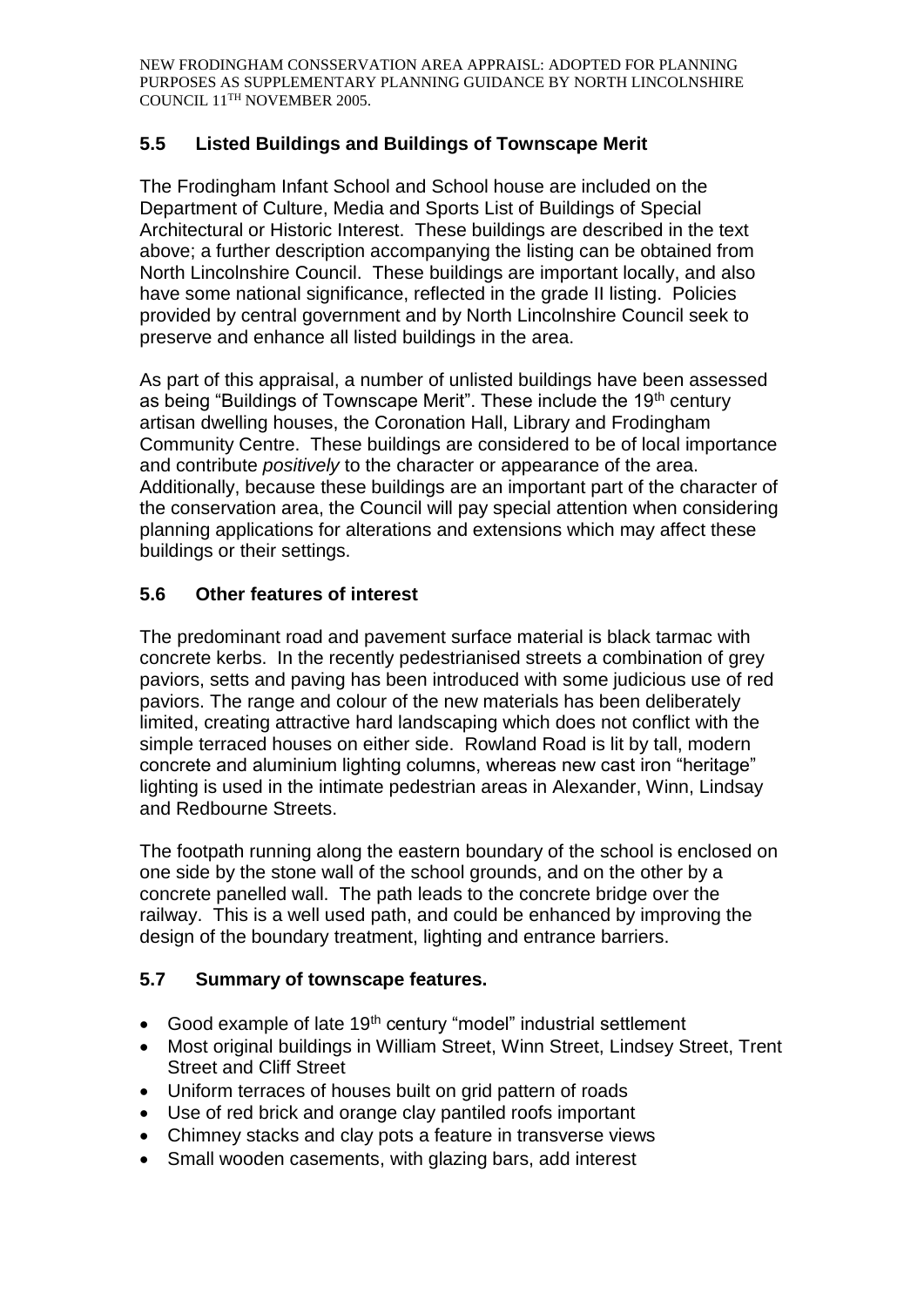# **5.5 Listed Buildings and Buildings of Townscape Merit**

The Frodingham Infant School and School house are included on the Department of Culture, Media and Sports List of Buildings of Special Architectural or Historic Interest. These buildings are described in the text above; a further description accompanying the listing can be obtained from North Lincolnshire Council. These buildings are important locally, and also have some national significance, reflected in the grade II listing. Policies provided by central government and by North Lincolnshire Council seek to preserve and enhance all listed buildings in the area.

As part of this appraisal, a number of unlisted buildings have been assessed as being "Buildings of Townscape Merit". These include the 19<sup>th</sup> century artisan dwelling houses, the Coronation Hall, Library and Frodingham Community Centre. These buildings are considered to be of local importance and contribute *positively* to the character or appearance of the area. Additionally, because these buildings are an important part of the character of the conservation area, the Council will pay special attention when considering planning applications for alterations and extensions which may affect these buildings or their settings.

## **5.6 Other features of interest**

The predominant road and pavement surface material is black tarmac with concrete kerbs. In the recently pedestrianised streets a combination of grey paviors, setts and paving has been introduced with some judicious use of red paviors. The range and colour of the new materials has been deliberately limited, creating attractive hard landscaping which does not conflict with the simple terraced houses on either side. Rowland Road is lit by tall, modern concrete and aluminium lighting columns, whereas new cast iron "heritage" lighting is used in the intimate pedestrian areas in Alexander, Winn, Lindsay and Redbourne Streets.

The footpath running along the eastern boundary of the school is enclosed on one side by the stone wall of the school grounds, and on the other by a concrete panelled wall. The path leads to the concrete bridge over the railway. This is a well used path, and could be enhanced by improving the design of the boundary treatment, lighting and entrance barriers.

## **5.7 Summary of townscape features.**

- Good example of late 19<sup>th</sup> century "model" industrial settlement
- Most original buildings in William Street, Winn Street, Lindsey Street, Trent Street and Cliff Street
- Uniform terraces of houses built on grid pattern of roads
- Use of red brick and orange clay pantiled roofs important
- Chimney stacks and clay pots a feature in transverse views
- Small wooden casements, with glazing bars, add interest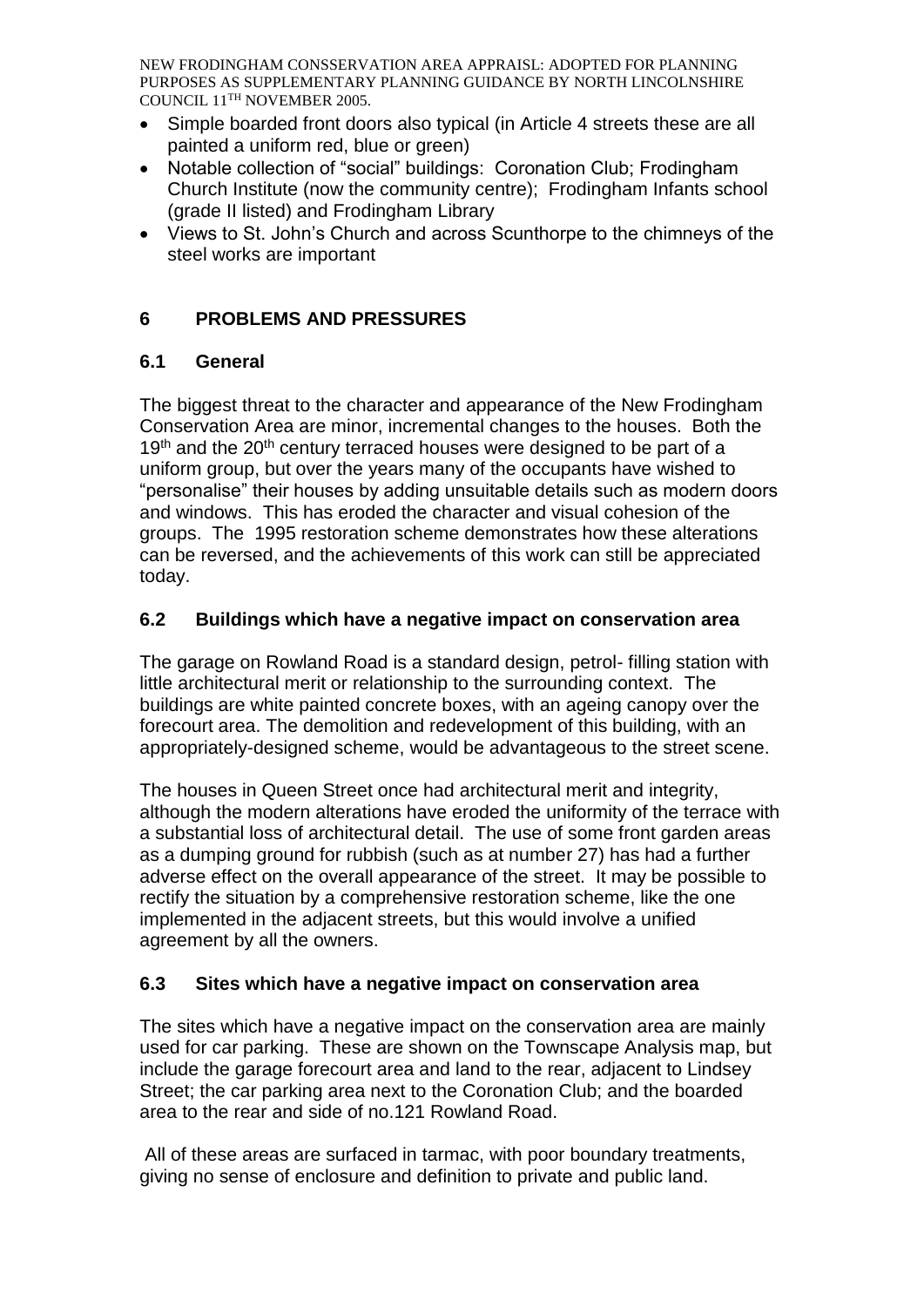- Simple boarded front doors also typical (in Article 4 streets these are all painted a uniform red, blue or green)
- Notable collection of "social" buildings: Coronation Club; Frodingham Church Institute (now the community centre); Frodingham Infants school (grade II listed) and Frodingham Library
- Views to St. John's Church and across Scunthorpe to the chimneys of the steel works are important

# **6 PROBLEMS AND PRESSURES**

# **6.1 General**

The biggest threat to the character and appearance of the New Frodingham Conservation Area are minor, incremental changes to the houses. Both the 19<sup>th</sup> and the 20<sup>th</sup> century terraced houses were designed to be part of a uniform group, but over the years many of the occupants have wished to "personalise" their houses by adding unsuitable details such as modern doors and windows. This has eroded the character and visual cohesion of the groups. The 1995 restoration scheme demonstrates how these alterations can be reversed, and the achievements of this work can still be appreciated today.

# **6.2 Buildings which have a negative impact on conservation area**

The garage on Rowland Road is a standard design, petrol- filling station with little architectural merit or relationship to the surrounding context. The buildings are white painted concrete boxes, with an ageing canopy over the forecourt area. The demolition and redevelopment of this building, with an appropriately-designed scheme, would be advantageous to the street scene.

The houses in Queen Street once had architectural merit and integrity, although the modern alterations have eroded the uniformity of the terrace with a substantial loss of architectural detail. The use of some front garden areas as a dumping ground for rubbish (such as at number 27) has had a further adverse effect on the overall appearance of the street. It may be possible to rectify the situation by a comprehensive restoration scheme, like the one implemented in the adjacent streets, but this would involve a unified agreement by all the owners.

# **6.3 Sites which have a negative impact on conservation area**

The sites which have a negative impact on the conservation area are mainly used for car parking. These are shown on the Townscape Analysis map, but include the garage forecourt area and land to the rear, adjacent to Lindsey Street; the car parking area next to the Coronation Club; and the boarded area to the rear and side of no.121 Rowland Road.

All of these areas are surfaced in tarmac, with poor boundary treatments, giving no sense of enclosure and definition to private and public land.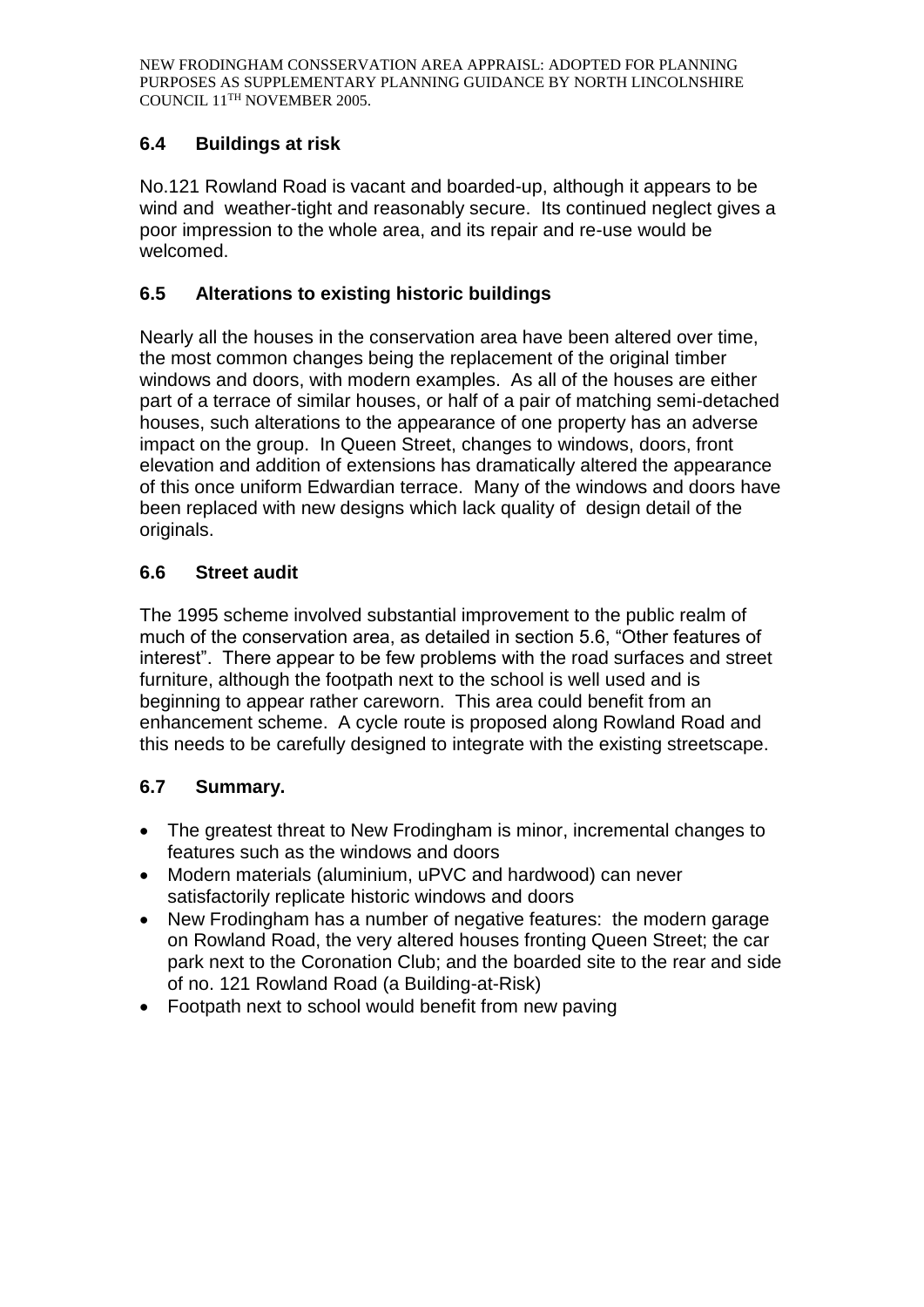# **6.4 Buildings at risk**

No.121 Rowland Road is vacant and boarded-up, although it appears to be wind and weather-tight and reasonably secure. Its continued neglect gives a poor impression to the whole area, and its repair and re-use would be welcomed.

## **6.5 Alterations to existing historic buildings**

Nearly all the houses in the conservation area have been altered over time, the most common changes being the replacement of the original timber windows and doors, with modern examples. As all of the houses are either part of a terrace of similar houses, or half of a pair of matching semi-detached houses, such alterations to the appearance of one property has an adverse impact on the group. In Queen Street, changes to windows, doors, front elevation and addition of extensions has dramatically altered the appearance of this once uniform Edwardian terrace. Many of the windows and doors have been replaced with new designs which lack quality of design detail of the originals.

## **6.6 Street audit**

The 1995 scheme involved substantial improvement to the public realm of much of the conservation area, as detailed in section 5.6, "Other features of interest". There appear to be few problems with the road surfaces and street furniture, although the footpath next to the school is well used and is beginning to appear rather careworn. This area could benefit from an enhancement scheme. A cycle route is proposed along Rowland Road and this needs to be carefully designed to integrate with the existing streetscape.

# **6.7 Summary.**

- The greatest threat to New Frodingham is minor, incremental changes to features such as the windows and doors
- Modern materials (aluminium, uPVC and hardwood) can never satisfactorily replicate historic windows and doors
- New Frodingham has a number of negative features: the modern garage on Rowland Road, the very altered houses fronting Queen Street; the car park next to the Coronation Club; and the boarded site to the rear and side of no. 121 Rowland Road (a Building-at-Risk)
- Footpath next to school would benefit from new paving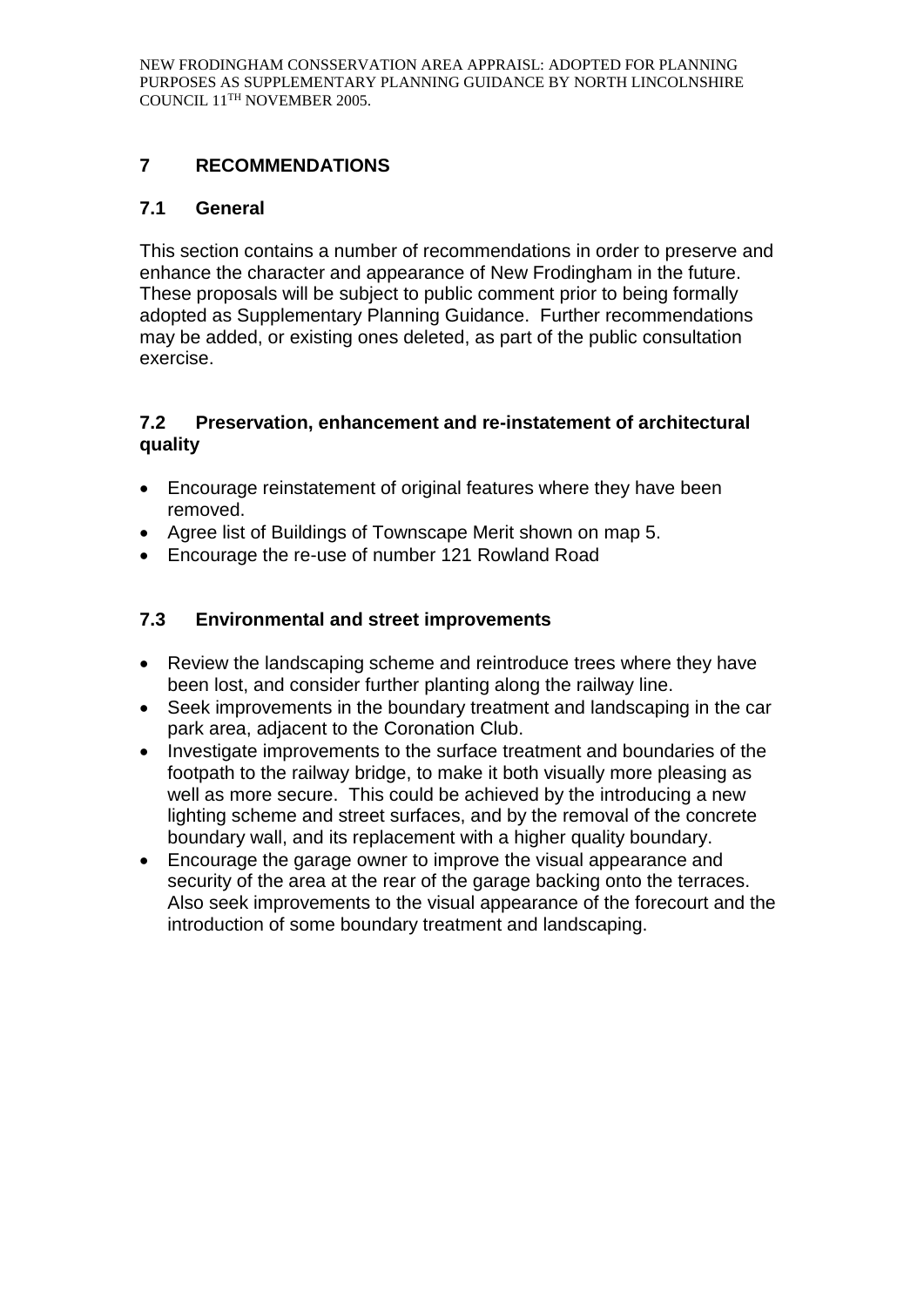# **7 RECOMMENDATIONS**

## **7.1 General**

This section contains a number of recommendations in order to preserve and enhance the character and appearance of New Frodingham in the future. These proposals will be subject to public comment prior to being formally adopted as Supplementary Planning Guidance. Further recommendations may be added, or existing ones deleted, as part of the public consultation exercise.

## **7.2 Preservation, enhancement and re-instatement of architectural quality**

- Encourage reinstatement of original features where they have been removed.
- Agree list of Buildings of Townscape Merit shown on map 5.
- Encourage the re-use of number 121 Rowland Road

# **7.3 Environmental and street improvements**

- Review the landscaping scheme and reintroduce trees where they have been lost, and consider further planting along the railway line.
- Seek improvements in the boundary treatment and landscaping in the car park area, adjacent to the Coronation Club.
- Investigate improvements to the surface treatment and boundaries of the footpath to the railway bridge, to make it both visually more pleasing as well as more secure. This could be achieved by the introducing a new lighting scheme and street surfaces, and by the removal of the concrete boundary wall, and its replacement with a higher quality boundary.
- Encourage the garage owner to improve the visual appearance and security of the area at the rear of the garage backing onto the terraces. Also seek improvements to the visual appearance of the forecourt and the introduction of some boundary treatment and landscaping.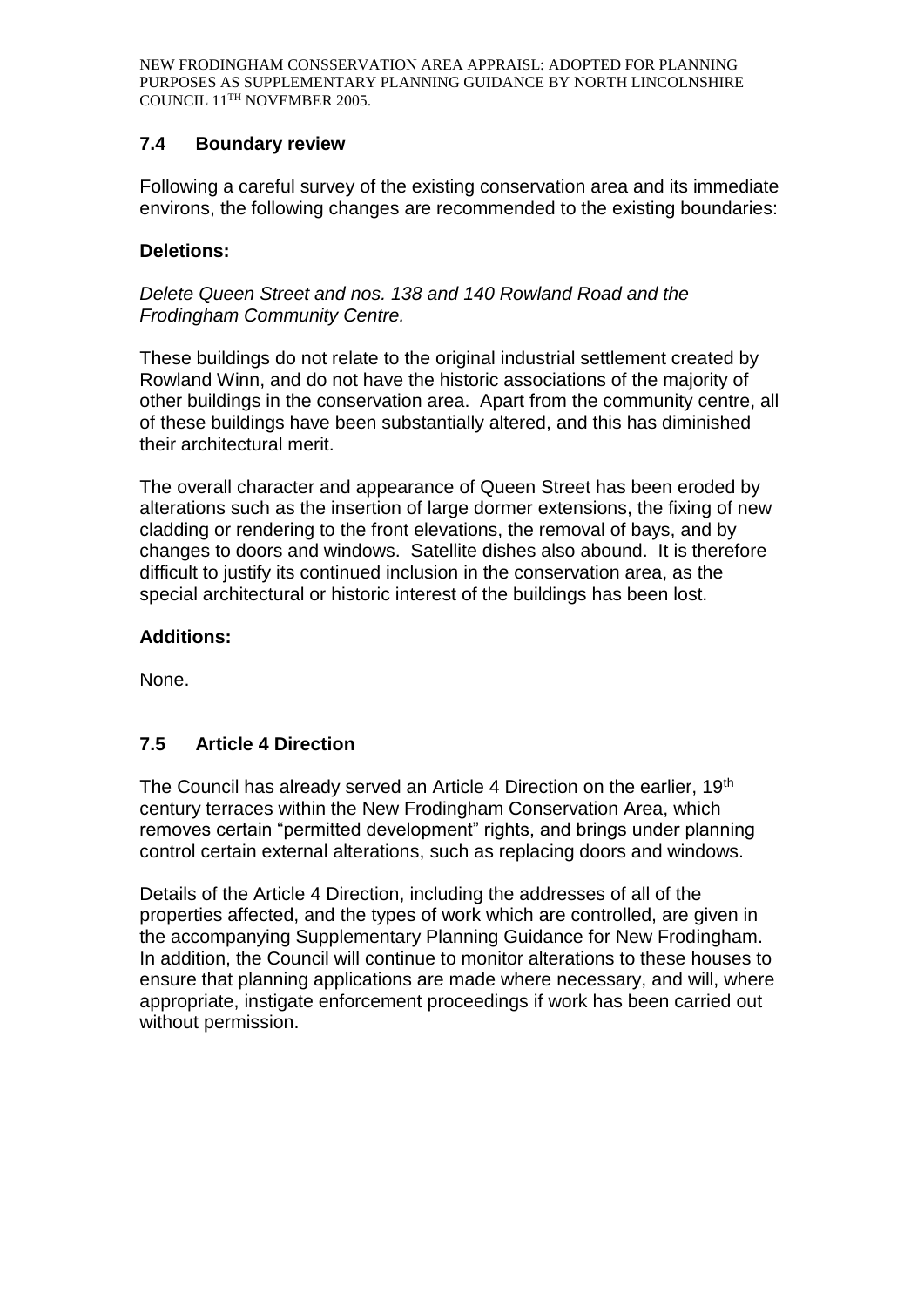## **7.4 Boundary review**

Following a careful survey of the existing conservation area and its immediate environs, the following changes are recommended to the existing boundaries:

## **Deletions:**

*Delete Queen Street and nos. 138 and 140 Rowland Road and the Frodingham Community Centre.* 

These buildings do not relate to the original industrial settlement created by Rowland Winn, and do not have the historic associations of the majority of other buildings in the conservation area. Apart from the community centre, all of these buildings have been substantially altered, and this has diminished their architectural merit.

The overall character and appearance of Queen Street has been eroded by alterations such as the insertion of large dormer extensions, the fixing of new cladding or rendering to the front elevations, the removal of bays, and by changes to doors and windows. Satellite dishes also abound. It is therefore difficult to justify its continued inclusion in the conservation area, as the special architectural or historic interest of the buildings has been lost.

### **Additions:**

None.

# **7.5 Article 4 Direction**

The Council has already served an Article 4 Direction on the earlier, 19<sup>th</sup> century terraces within the New Frodingham Conservation Area, which removes certain "permitted development" rights, and brings under planning control certain external alterations, such as replacing doors and windows.

Details of the Article 4 Direction, including the addresses of all of the properties affected, and the types of work which are controlled, are given in the accompanying Supplementary Planning Guidance for New Frodingham. In addition, the Council will continue to monitor alterations to these houses to ensure that planning applications are made where necessary, and will, where appropriate, instigate enforcement proceedings if work has been carried out without permission.